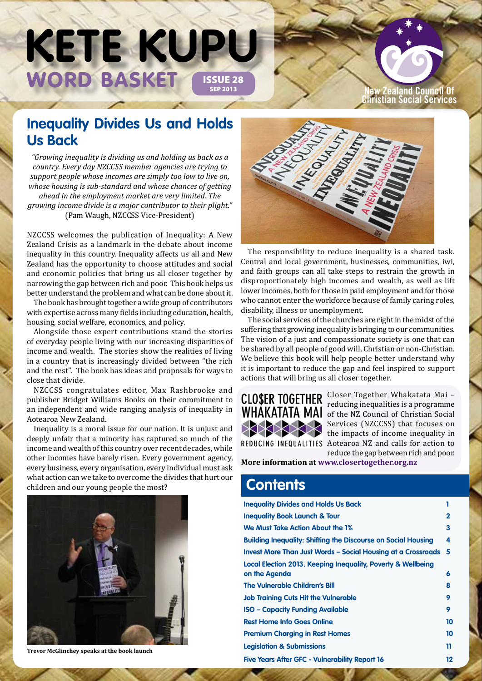# WORD BASKET ISSUE 28 **KETE KUPU**

#### **New Zealand Council Of Christian Social Services**

## **Inequality Divides Us and Holds Us Back**

*"Growing inequality is dividing us and holding us back as a country. Every day NZCCSS member agencies are trying to support people whose incomes are simply too low to live on, whose housing is sub-standard and whose chances of getting ahead in the employment market are very limited. The growing income divide is a major contributor to their plight."*  (Pam Waugh, NZCCSS Vice-President)

NZCCSS welcomes the publication of Inequality: A New Zealand Crisis as a landmark in the debate about income inequality in this country. Inequality affects us all and New Zealand has the opportunity to choose attitudes and social and economic policies that bring us all closer together by narrowing the gap between rich and poor. This book helps us better understand the problem and what can be done about it.

The book has brought together a wide group of contributors with expertise across many fields including education, health, housing, social welfare, economics, and policy.

Alongside those expert contributions stand the stories of everyday people living with our increasing disparities of income and wealth. The stories show the realities of living in a country that is increasingly divided between "the rich and the rest". The book has ideas and proposals for ways to close that divide.

NZCCSS congratulates editor, Max Rashbrooke and publisher Bridget Williams Books on their commitment to an independent and wide ranging analysis of inequality in Aotearoa New Zealand.

Inequality is a moral issue for our nation. It is unjust and deeply unfair that a minority has captured so much of the income and wealth of this country over recent decades, while other incomes have barely risen. Every government agency, every business, every organisation, every individual must ask what action can we take to overcome the divides that hurt our children and our young people the most?



The responsibility to reduce inequality is a shared task. Central and local government, businesses, communities, iwi, and faith groups can all take steps to restrain the growth in disproportionately high incomes and wealth, as well as lift lower incomes, both for those in paid employment and for those who cannot enter the workforce because of family caring roles, disability, illness or unemployment.

The social services of the churches are right in the midst of the suffering that growing inequality is bringing to our communities. The vision of a just and compassionate society is one that can be shared by all people of good will, Christian or non-Christian. We believe this book will help people better understand why it is important to reduce the gap and feel inspired to support actions that will bring us all closer together.



CLOSER TOGETHER Closer Together Whakatata Mai reducing inequalities is a programme of the NZ Council of Christian Social Services (NZCCSS) that focuses on the impacts of income inequality in REDUCING INEQUALITIES Aotearoa NZ and calls for action to reduce the gap between rich and poor.

**More information at www.closertogether.org.nz** 

## **Contents**

| <b>Inequality Divides and Holds Us Back</b>                                   |              |
|-------------------------------------------------------------------------------|--------------|
| <b>Inequality Book Launch &amp; Tour</b>                                      | $\mathbf{2}$ |
| We Must Take Action About the 1%                                              | 3            |
| <b>Building Inequality: Shifting the Discourse on Social Housing</b>          | 4            |
| <b>Invest More Than Just Words - Social Housing at a Crossroads</b>           | 5            |
| Local Election 2013. Keeping Inequality, Poverty & Wellbeing<br>on the Agenda | 6            |
| <b>The Vulnerable Children's Bill</b>                                         | 8            |
| <b>Job Training Cuts Hit the Vulnerable</b>                                   | 9            |
| <b>ISO – Capacity Funding Available</b>                                       | 9            |
| <b>Rest Home Info Goes Online</b>                                             | 10           |
| <b>Premium Charging in Rest Homes</b>                                         | 10           |
| <b>Legislation &amp; Submissions</b>                                          | 11           |
| <b>Five Years After GFC - Vulnerability Report 16</b>                         | 12           |



**Trevor McGlinchey speaks at the book launch**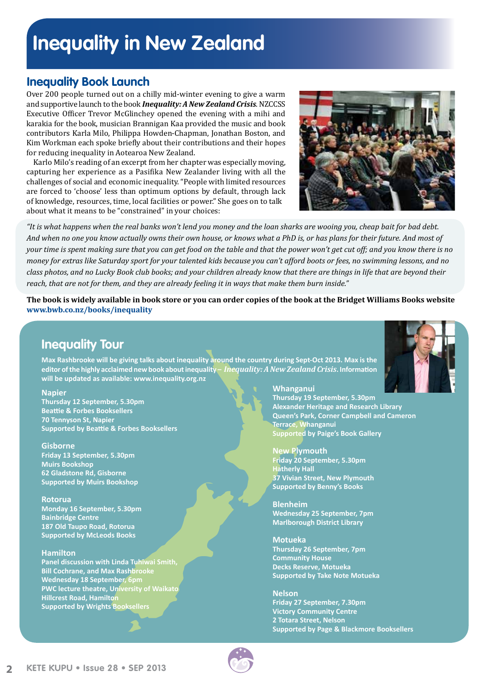### **Inequality Book Launch**

Over 200 people turned out on a chilly mid-winter evening to give a warm and supportive launch to the book *Inequality: A New Zealand Crisis*. NZCCSS Executive Officer Trevor McGlinchey opened the evening with a mihi and karakia for the book, musician Brannigan Kaa provided the music and book contributors Karla Milo, Philippa Howden-Chapman, Jonathan Boston, and Kim Workman each spoke briefly about their contributions and their hopes for reducing inequality in Aotearoa New Zealand.

Karlo Milo's reading of an excerpt from her chapter was especially moving, capturing her experience as a Pasifika New Zealander living with all the challenges of social and economic inequality. "People with limited resources are forced to 'choose' less than optimum options by default, through lack of knowledge, resources, time, local facilities or power." She goes on to talk about what it means to be "constrained" in your choices:



*"It is what happens when the real banks won't lend you money and the loan sharks are wooing you, cheap bait for bad debt. And when no one you know actually owns their own house, or knows what a PhD is, or has plans for their future. And most of your time is spent making sure that you can get food on the table and that the power won't get cut off; and you know there is no money for extras like Saturday sport for your talented kids because you can't afford boots or fees, no swimming lessons, and no class photos, and no Lucky Book club books; and your children already know that there are things in life that are beyond their reach, that are not for them, and they are already feeling it in ways that make them burn inside."* 

**The book is widely available in book store or you can order copies of the book at the Bridget Williams Books website www.bwb.co.nz/books/inequality**

### **Inequality Tour**

**Max Rashbrooke will be giving talks about inequality around the country during Sept-Oct 2013. Max is the editor of the highly acclaimed new book about inequality –** *Inequality: A New Zealand Crisis***. Information will be updated as available: www.inequality.org.nz** 

#### **Napier**

**Thursday 12 September, 5.30pm Beattie & Forbes Booksellers 70 Tennyson St, Napier Supported by Beattie & Forbes Booksellers**

#### **Gisborne**

**Friday 13 September, 5.30pm Muirs Bookshop 62 Gladstone Rd, Gisborne Supported by Muirs Bookshop**

#### **Rotorua**

**Monday 16 September, 5.30pm Bainbridge Centre 187 Old Taupo Road, Rotorua Supported by McLeods Books**

#### **Hamilton**

**Panel discussion with Linda Tuhiwai Smith, Bill Cochrane, and Max Rashbi Wednesday 18 September, 6pm PWC lecture theatre, University of Waikato Hillcrest Road, Hamilton Supported by Wrights Booksellers**

#### **Whanganui**

**Thursday 19 September, 5.30pm Alexander Heritage and Research Library Queen's Park, Corner Campbell and Cameron Terrace, Whanganui Supported by Paige's Book Gallery**

#### **New Plymouth**

**Friday 20 September, 5.30pm Hatherly Hall 37 Vivian Street, New Plymouth Supported by Benny's Books**

#### **Blenheim Wednesday 25 September, 7pm Marlborough District Library**

**Motueka Thursday 26 September, 7pm Community House Decks Reserve, Motueka Supported by Take Note Motueka**

#### **Nelson**

**Friday 27 September, 7.30pm Victory Community Centre 2 Totara Street, Nelson Supported by Page & Blackmore Booksellers**

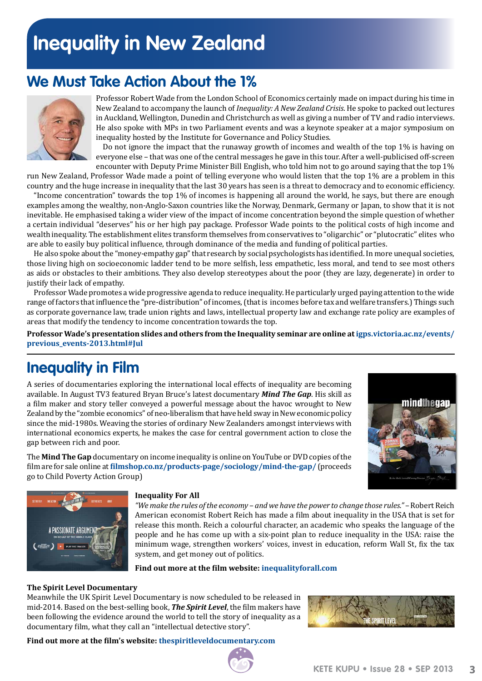# **We Must Take Action About the 1%**



Professor Robert Wade from the London School of Economics certainly made on impact during his time in New Zealand to accompany the launch of *Inequality: A New Zealand Crisis*. He spoke to packed out lectures in Auckland, Wellington, Dunedin and Christchurch as well as giving a number of TV and radio interviews. He also spoke with MPs in two Parliament events and was a keynote speaker at a major symposium on inequality hosted by the Institute for Governance and Policy Studies.

Do not ignore the impact that the runaway growth of incomes and wealth of the top 1% is having on everyone else – that was one of the central messages he gave in this tour. After a well-publicised off-screen encounter with Deputy Prime Minister Bill English, who told him not to go around saying that the top 1%

run New Zealand, Professor Wade made a point of telling everyone who would listen that the top 1% are a problem in this country and the huge increase in inequality that the last 30 years has seen is a threat to democracy and to economic efficiency.

"Income concentration" towards the top 1% of incomes is happening all around the world, he says, but there are enough examples among the wealthy, non-Anglo-Saxon countries like the Norway, Denmark, Germany or Japan, to show that it is not inevitable. He emphasised taking a wider view of the impact of income concentration beyond the simple question of whether a certain individual "deserves" his or her high pay package. Professor Wade points to the political costs of high income and wealth inequality. The establishment elites transform themselves from conservatives to "oligarchic" or "plutocratic" elites who are able to easily buy political influence, through dominance of the media and funding of political parties.

He also spoke about the "money-empathy gap" that research by social psychologists has identified. In more unequal societies, those living high on socioeconomic ladder tend to be more selfish, less empathetic, less moral, and tend to see most others as aids or obstacles to their ambitions. They also develop stereotypes about the poor (they are lazy, degenerate) in order to justify their lack of empathy.

Professor Wade promotes a wide progressive agenda to reduce inequality. He particularly urged paying attention to the wide range of factors that influence the "pre-distribution" of incomes, (that is incomes before tax and welfare transfers.) Things such as corporate governance law, trade union rights and laws, intellectual property law and exchange rate policy are examples of areas that modify the tendency to income concentration towards the top.

**Professor Wade's presentation slides and others from the Inequality seminar are online at igps.victoria.ac.nz/events/ previous\_events-2013.html#Jul**

# **Inequality in Film**

A series of documentaries exploring the international local effects of inequality are becoming available. In August TV3 featured Bryan Bruce's latest documentary *Mind The Gap*. His skill as a film maker and story teller conveyed a powerful message about the havoc wrought to New Zealand by the "zombie economics" of neo-liberalism that have held sway in New economic policy since the mid-1980s. Weaving the stories of ordinary New Zealanders amongst interviews with international economics experts, he makes the case for central government action to close the gap between rich and poor.

The **Mind The Gap** documentary on income inequality is online on YouTube or DVD copies of the film are for sale online at **filmshop.co.nz/products-page/sociology/mind-the-gap/** (proceeds go to Child Poverty Action Group)





#### **Inequality For All**

*"We make the rules of the economy – and we have the power to change those rules."* – Robert Reich American economist Robert Reich has made a film about inequality in the USA that is set for release this month. Reich a colourful character, an academic who speaks the language of the people and he has come up with a six-point plan to reduce inequality in the USA: raise the minimum wage, strengthen workers' voices, invest in education, reform Wall St, fix the tax system, and get money out of politics.

#### **Find out more at the film website: inequalityforall.com**

#### **The Spirit Level Documentary**

Meanwhile the UK Spirit Level Documentary is now scheduled to be released in mid-2014. Based on the best-selling book, *The Spirit Level*, the film makers have been following the evidence around the world to tell the story of inequality as a documentary film, what they call an "intellectual detective story".



#### **Find out more at the film's website: thespiritleveldocumentary.com**

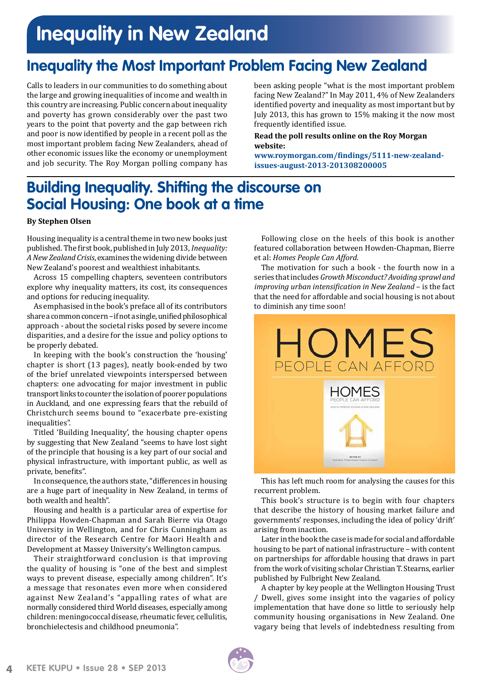# **Inequality the Most Important Problem Facing New Zealand**

Calls to leaders in our communities to do something about the large and growing inequalities of income and wealth in this country are increasing. Public concern about inequality and poverty has grown considerably over the past two years to the point that poverty and the gap between rich and poor is now identified by people in a recent poll as the most important problem facing New Zealanders, ahead of other economic issues like the economy or unemployment and job security. The Roy Morgan polling company has

been asking people "what is the most important problem facing New Zealand?" In May 2011, 4% of New Zealanders identified poverty and inequality as most important but by July 2013, this has grown to 15% making it the now most frequently identified issue.

#### **Read the poll results online on the Roy Morgan website:**

**www.roymorgan.com/findings/5111-new-zealandissues-august-2013-201308200005**

## **Building Inequality. Shifting the discourse on Social Housing: One book at a time**

#### **By Stephen Olsen**

Housing inequality is a central theme in two new books just published. The first book, published in July 2013, *Inequality: A New Zealand Crisis*, examines the widening divide between New Zealand's poorest and wealthiest inhabitants.

Across 15 compelling chapters, seventeen contributors explore why inequality matters, its cost, its consequences and options for reducing inequality.

As emphasised in the book's preface all of its contributors share a common concern – if not a single, unified philosophical approach - about the societal risks posed by severe income disparities, and a desire for the issue and policy options to be properly debated.

In keeping with the book's construction the 'housing' chapter is short (13 pages), neatly book-ended by two of the brief unrelated viewpoints interspersed between chapters: one advocating for major investment in public transport links to counter the isolation of poorer populations in Auckland, and one expressing fears that the rebuild of Christchurch seems bound to "exacerbate pre-existing inequalities".

Titled 'Building Inequality', the housing chapter opens by suggesting that New Zealand "seems to have lost sight of the principle that housing is a key part of our social and physical infrastructure, with important public, as well as private, benefits".

In consequence, the authors state, "differences in housing are a huge part of inequality in New Zealand, in terms of both wealth and health".

Housing and health is a particular area of expertise for Philippa Howden-Chapman and Sarah Bierre via Otago University in Wellington, and for Chris Cunningham as director of the Research Centre for Maori Health and Development at Massey University's Wellington campus.

Their straightforward conclusion is that improving the quality of housing is "one of the best and simplest ways to prevent disease, especially among children". It's a message that resonates even more when considered against New Zealand's "appalling rates of what are normally considered third World diseases, especially among children: meningococcal disease, rheumatic fever, cellulitis, bronchielectesis and childhood pneumonia".

Following close on the heels of this book is another featured collaboration between Howden-Chapman, Bierre et al: *Homes People Can Afford.*

The motivation for such a book - the fourth now in a series that includes *Growth Misconduct? Avoiding sprawl and improving urban intensification in New Zealand* – is the fact that the need for affordable and social housing is not about to diminish any time soon!



This has left much room for analysing the causes for this recurrent problem.

This book's structure is to begin with four chapters that describe the history of housing market failure and governments' responses, including the idea of policy 'drift' arising from inaction.

Later in the book the case is made for social and affordable housing to be part of national infrastructure – with content on partnerships for affordable housing that draws in part from the work of visiting scholar Christian T. Stearns, earlier published by Fulbright New Zealand.

A chapter by key people at the Wellington Housing Trust / Dwell, gives some insight into the vagaries of policy implementation that have done so little to seriously help community housing organisations in New Zealand. One vagary being that levels of indebtedness resulting from

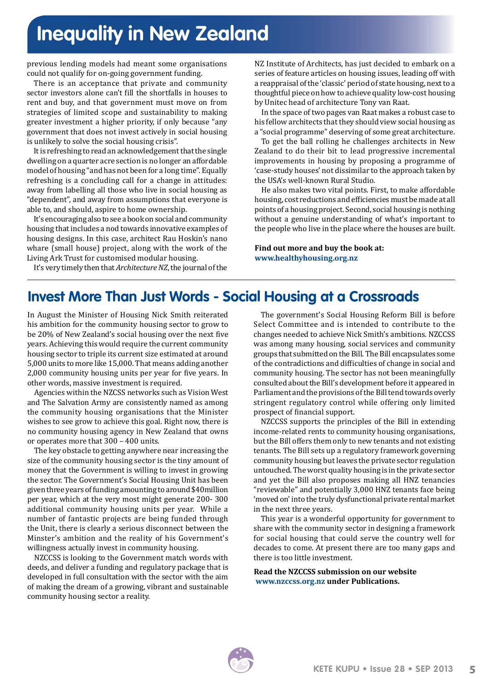previous lending models had meant some organisations could not qualify for on-going government funding.

There is an acceptance that private and community sector investors alone can't fill the shortfalls in houses to rent and buy, and that government must move on from strategies of limited scope and sustainability to making greater investment a higher priority, if only because "any government that does not invest actively in social housing is unlikely to solve the social housing crisis".

It is refreshing to read an acknowledgement that the single dwelling on a quarter acre section is no longer an affordable model of housing "and has not been for a long time". Equally refreshing is a concluding call for a change in attitudes: away from labelling all those who live in social housing as "dependent", and away from assumptions that everyone is able to, and should, aspire to home ownership.

It's encouraging also to see a book on social and community housing that includes a nod towards innovative examples of housing designs. In this case, architect Rau Hoskin's nano whare (small house) project, along with the work of the Living Ark Trust for customised modular housing.

It's very timely then that *Architecture NZ*, the journal of the

NZ Institute of Architects, has just decided to embark on a series of feature articles on housing issues, leading off with a reappraisal of the 'classic' period of state housing, next to a thoughtful piece on how to achieve quality low-cost housing by Unitec head of architecture Tony van Raat.

In the space of two pages van Raat makes a robust case to his fellow architects that they should view social housing as a "social programme" deserving of some great architecture.

To get the ball rolling he challenges architects in New Zealand to do their bit to lead progressive incremental improvements in housing by proposing a programme of 'case-study houses' not dissimilar to the approach taken by the USA's well-known Rural Studio.

He also makes two vital points. First, to make affordable housing, cost reductions and efficiencies must be made at all points of a housing project. Second, social housing is nothing without a genuine understanding of what's important to the people who live in the place where the houses are built.

**Find out more and buy the book at: www.healthyhousing.org.nz**

## **Invest More Than Just Words - Social Housing at a Crossroads**

In August the Minister of Housing Nick Smith reiterated his ambition for the community housing sector to grow to be 20% of New Zealand's social housing over the next five years. Achieving this would require the current community housing sector to triple its current size estimated at around 5,000 units to more like 15,000. That means adding another 2,000 community housing units per year for five years. In other words, massive investment is required.

Agencies within the NZCSS networks such as Vision West and The Salvation Army are consistently named as among the community housing organisations that the Minister wishes to see grow to achieve this goal. Right now, there is no community housing agency in New Zealand that owns or operates more that 300 – 400 units.

The key obstacle to getting anywhere near increasing the size of the community housing sector is the tiny amount of money that the Government is willing to invest in growing the sector. The Government's Social Housing Unit has been given three years of funding amounting to around \$40million per year, which at the very most might generate 200- 300 additional community housing units per year. While a number of fantastic projects are being funded through the Unit, there is clearly a serious disconnect between the Minster's ambition and the reality of his Government's willingness actually invest in community housing.

NZCCSS is looking to the Government match words with deeds, and deliver a funding and regulatory package that is developed in full consultation with the sector with the aim of making the dream of a growing, vibrant and sustainable community housing sector a reality.

The government's Social Housing Reform Bill is before Select Committee and is intended to contribute to the changes needed to achieve Nick Smith's ambitions. NZCCSS was among many housing, social services and community groups that submitted on the Bill. The Bill encapsulates some of the contradictions and difficulties of change in social and community housing. The sector has not been meaningfully consulted about the Bill's development before it appeared in Parliament and the provisions of the Bill tend towards overly stringent regulatory control while offering only limited prospect of financial support.

NZCCSS supports the principles of the Bill in extending income-related rents to community housing organisations, but the Bill offers them only to new tenants and not existing tenants. The Bill sets up a regulatory framework governing community housing but leaves the private sector regulation untouched. The worst quality housing is in the private sector and yet the Bill also proposes making all HNZ tenancies "reviewable" and potentially 3,000 HNZ tenants face being 'moved on' into the truly dysfunctional private rental market in the next three years.

This year is a wonderful opportunity for government to share with the community sector in designing a framework for social housing that could serve the country well for decades to come. At present there are too many gaps and there is too little investment.

**Read the NZCCSS submission on our website www.nzccss.org.nz under Publications.**

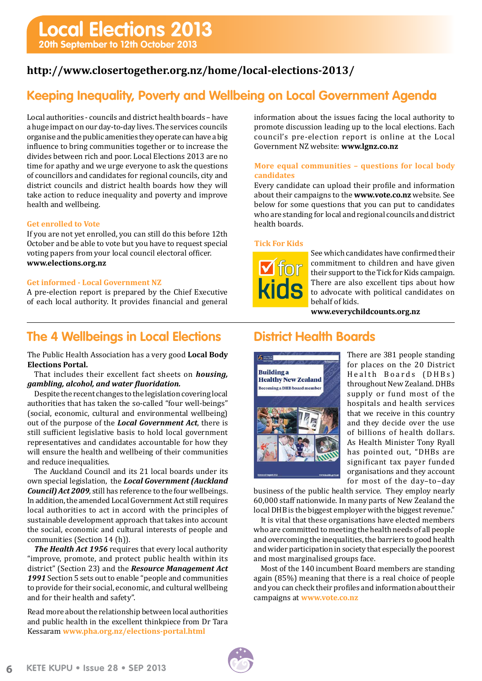### **http://www.closertogether.org.nz/home/local-elections-2013/**

## **Keeping Inequality, Poverty and Wellbeing on Local Government Agenda**

Local authorities - councils and district health boards – have a huge impact on our day-to-day lives. The services councils organise and the public amenities they operate can have a big influence to bring communities together or to increase the divides between rich and poor. Local Elections 2013 are no time for apathy and we urge everyone to ask the questions of councillors and candidates for regional councils, city and district councils and district health boards how they will take action to reduce inequality and poverty and improve health and wellbeing.

#### **Get enrolled to Vote**

If you are not yet enrolled, you can still do this before 12th October and be able to vote but you have to request special voting papers from your local council electoral officer. **www.elections.org.nz**

#### **Get informed - Local Government NZ**

A pre-election report is prepared by the Chief Executive of each local authority. It provides financial and general

### **The 4 Wellbeings in Local Elections**

The Public Health Association has a very good **Local Body Elections Portal.**

That includes their excellent fact sheets on *housing, gambling, alcohol, and water fluoridation.*

Despite the recent changes to the legislation covering local authorities that has taken the so-called "four well-beings" (social, economic, cultural and environmental wellbeing) out of the purpose of the *Local Government Act*, there is still sufficient legislative basis to hold local government representatives and candidates accountable for how they will ensure the health and wellbeing of their communities and reduce inequalities.

The Auckland Council and its 21 local boards under its own special legislation, the *Local Government (Auckland Council) Act 2009*, still has reference to the four wellbeings. In addition, the amended Local Government Act still requires local authorities to act in accord with the principles of sustainable development approach that takes into account the social, economic and cultural interests of people and communities (Section 14 (h)).

*The Health Act 1956* requires that every local authority "improve, promote, and protect public health within its district" (Section 23) and the *Resource Management Act 1991* Section 5 sets out to enable "people and communities to provide for their social, economic, and cultural wellbeing and for their health and safety".

Read more about the relationship between local authorities and public health in the excellent thinkpiece from Dr Tara Kessaram **www.pha.org.nz/elections-portal.html**

information about the issues facing the local authority to promote discussion leading up to the local elections. Each council's pre-election report is online at the Local Government NZ website: **www.lgnz.co.nz**

#### **More equal communities – questions for local body candidates**

Every candidate can upload their profile and information about their campaigns to the **www.vote.co.nz** website. See below for some questions that you can put to candidates who are standing for local and regional councils and district health boards.

#### **Tick For Kids**



See which candidates have confirmed their commitment to children and have given their support to the Tick for Kids campaign. There are also excellent tips about how to advocate with political candidates on behalf of kids.

**www.everychildcounts.org.nz**

### **District Health Boards**



There are 381 people standing for places on the 20 District Health Boards (DHBs) throughout New Zealand. DHBs supply or fund most of the hospitals and health services that we receive in this country and they decide over the use of billions of health dollars. As Health Minister Tony Ryall has pointed out, "DHBs are significant tax payer funded organisations and they account for most of the day–to–day

business of the public health service. They employ nearly 60,000 staff nationwide. In many parts of New Zealand the local DHB is the biggest employer with the biggest revenue."

It is vital that these organisations have elected members who are committed to meeting the health needs of all people and overcoming the inequalities, the barriers to good health and wider participation in society that especially the poorest and most marginalised groups face.

Most of the 140 incumbent Board members are standing again (85%) meaning that there is a real choice of people and you can check their profiles and information about their campaigns at **www.vote.co.nz**

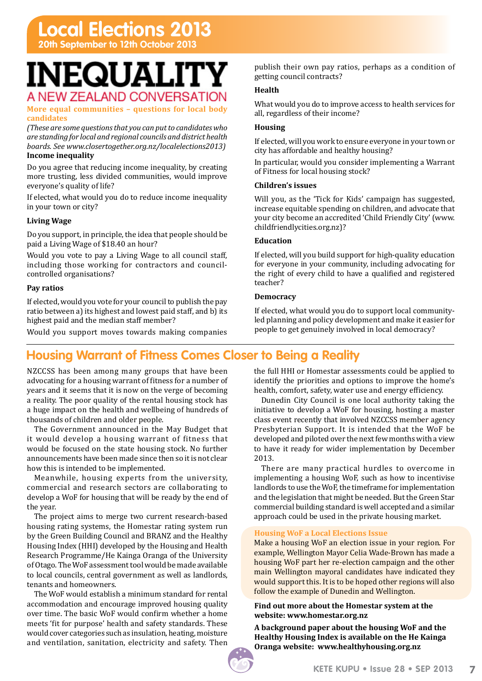## **Local Elections 2013 20th September to 12th October 2013**

# **NEQUALITY** A NEW ZEALAND CONVERSATION

#### **More equal communities – questions for local body candidates**

*(These are some questions that you can put to candidates who are standing for local and regional councils and district health boards. See www.closertogether.org.nz/localelections2013)* **Income inequality**

Do you agree that reducing income inequality, by creating more trusting, less divided communities, would improve everyone's quality of life?

If elected, what would you do to reduce income inequality in your town or city?

#### **Living Wage**

Do you support, in principle, the idea that people should be paid a Living Wage of \$18.40 an hour?

Would you vote to pay a Living Wage to all council staff, including those working for contractors and councilcontrolled organisations?

#### **Pay ratios**

If elected, would you vote for your council to publish the pay ratio between a) its highest and lowest paid staff, and b) its highest paid and the median staff member?

Would you support moves towards making companies

#### publish their own pay ratios, perhaps as a condition of getting council contracts?

#### **Health**

What would you do to improve access to health services for all, regardless of their income?

#### **Housing**

If elected, will you work to ensure everyone in your town or city has affordable and healthy housing?

In particular, would you consider implementing a Warrant of Fitness for local housing stock?

#### **Children's issues**

Will you, as the 'Tick for Kids' campaign has suggested, increase equitable spending on children, and advocate that your city become an accredited 'Child Friendly City' (www. childfriendlycities.org.nz)?

#### **Education**

If elected, will you build support for high-quality education for everyone in your community, including advocating for the right of every child to have a qualified and registered teacher?

#### **Democracy**

If elected, what would you do to support local communityled planning and policy development and make it easier for people to get genuinely involved in local democracy?

## **Housing Warrant of Fitness Comes Closer to Being a Reality**

NZCCSS has been among many groups that have been advocating for a housing warrant of fitness for a number of years and it seems that it is now on the verge of becoming a reality. The poor quality of the rental housing stock has a huge impact on the health and wellbeing of hundreds of thousands of children and older people.

The Government announced in the May Budget that it would develop a housing warrant of fitness that would be focused on the state housing stock. No further announcements have been made since then so it is not clear how this is intended to be implemented.

Meanwhile, housing experts from the university, commercial and research sectors are collaborating to develop a WoF for housing that will be ready by the end of the year.

The project aims to merge two current research-based housing rating systems, the Homestar rating system run by the Green Building Council and BRANZ and the Healthy Housing Index (HHI) developed by the Housing and Health Research Programme/He Kainga Oranga of the University of Otago. The WoF assessment tool would be made available to local councils, central government as well as landlords, tenants and homeowners.

The WoF would establish a minimum standard for rental accommodation and encourage improved housing quality over time. The basic WoF would confirm whether a home meets 'fit for purpose' health and safety standards. These would cover categories such as insulation, heating, moisture and ventilation, sanitation, electricity and safety. Then

the full HHI or Homestar assessments could be applied to identify the priorities and options to improve the home's health, comfort, safety, water use and energy efficiency.

Dunedin City Council is one local authority taking the initiative to develop a WoF for housing, hosting a master class event recently that involved NZCCSS member agency Presbyterian Support. It is intended that the WoF be developed and piloted over the next few months with a view to have it ready for wider implementation by December 2013.

There are many practical hurdles to overcome in implementing a housing WoF, such as how to incentivise landlords to use the WoF, the timeframe for implementation and the legislation that might be needed. But the Green Star commercial building standard is well accepted and a similar approach could be used in the private housing market.

#### **Housing WoF a Local Elections Issue**

Make a housing WoF an election issue in your region. For example, Wellington Mayor Celia Wade-Brown has made a housing WoF part her re-election campaign and the other main Wellington mayoral candidates have indicated they would support this. It is to be hoped other regions will also follow the example of Dunedin and Wellington.

#### **Find out more about the Homestar system at the website: www.homestar.org.nz**

**A background paper about the housing WoF and the Healthy Housing Index is available on the He Kainga Oranga website: www.healthyhousing.org.nz**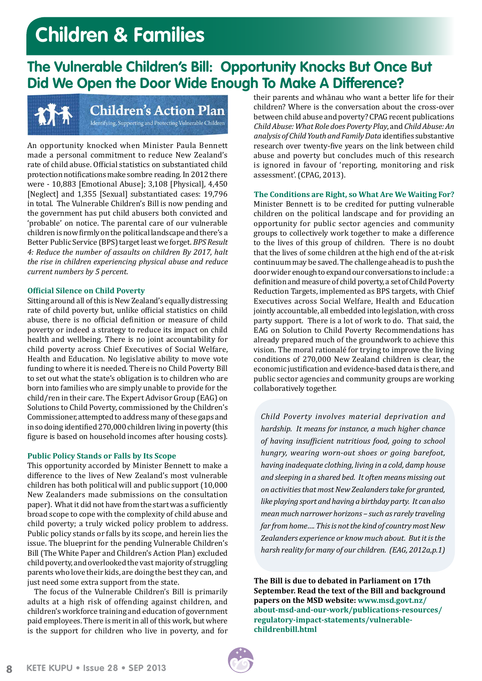# **Children & Families**

## **The Vulnerable Children's Bill: Opportunity Knocks But Once But Did We Open the Door Wide Enough To Make A Difference?**



**Children's Action Plan** Identifying, Supporting and Protecting Vulnerable Children

An opportunity knocked when Minister Paula Bennett made a personal commitment to reduce New Zealand's rate of child abuse. Official statistics on substantiated child protection notifications make sombre reading. In 2012 there were - 10,883 [Emotional Abuse]; 3,108 [Physical], 4,450 [Neglect] and 1,355 [Sexual] substantiated cases: 19,796 in total. The Vulnerable Children's Bill is now pending and the government has put child abusers both convicted and 'probable' on notice. The parental care of our vulnerable children is now firmly on the political landscape and there's a Better Public Service (BPS) target least we forget. *BPS Result 4: Reduce the number of assaults on children By 2017, halt the rise in children experiencing physical abuse and reduce current numbers by 5 percent.* 

#### **Official Silence on Child Poverty**

Sitting around all of this is New Zealand's equally distressing rate of child poverty but, unlike official statistics on child abuse, there is no official definition or measure of child poverty or indeed a strategy to reduce its impact on child health and wellbeing. There is no joint accountability for child poverty across Chief Executives of Social Welfare, Health and Education. No legislative ability to move vote funding to where it is needed. There is no Child Poverty Bill to set out what the state's obligation is to children who are born into families who are simply unable to provide for the child/ren in their care. The Expert Advisor Group (EAG) on Solutions to Child Poverty, commissioned by the Children's Commissioner, attempted to address many of these gaps and in so doing identified 270,000 children living in poverty (this figure is based on household incomes after housing costs).

#### **Public Policy Stands or Falls by Its Scope**

This opportunity accorded by Minister Bennett to make a difference to the lives of New Zealand's most vulnerable children has both political will and public support (10,000 New Zealanders made submissions on the consultation paper). What it did not have from the start was a sufficiently broad scope to cope with the complexity of child abuse and child poverty; a truly wicked policy problem to address. Public policy stands or falls by its scope, and herein lies the issue. The blueprint for the pending Vulnerable Children's Bill (The White Paper and Children's Action Plan) excluded child poverty, and overlooked the vast majority of struggling parents who love their kids, are doing the best they can, and just need some extra support from the state.

The focus of the Vulnerable Children's Bill is primarily adults at a high risk of offending against children, and children's workforce training and education of government paid employees. There is merit in all of this work, but where is the support for children who live in poverty, and for

their parents and whānau who want a better life for their children? Where is the conversation about the cross-over between child abuse and poverty? CPAG recent publications *Child Abuse: What Role does Poverty Play*, and *Child Abuse: An analysis of Child Youth and Family Data* identifies substantive research over twenty-five years on the link between child abuse and poverty but concludes much of this research is ignored in favour of 'reporting, monitoring and risk assessment'. (CPAG, 2013).

#### **The Conditions are Right, so What Are We Waiting For?**

Minister Bennett is to be credited for putting vulnerable children on the political landscape and for providing an opportunity for public sector agencies and community groups to collectively work together to make a difference to the lives of this group of children. There is no doubt that the lives of some children at the high end of the at-risk continuum may be saved. The challenge ahead is to push the door wider enough to expand our conversations to include : a definition and measure of child poverty, a set of Child Poverty Reduction Targets, implemented as BPS targets, with Chief Executives across Social Welfare, Health and Education jointly accountable, all embedded into legislation, with cross party support. There is a lot of work to do. That said, the EAG on Solution to Child Poverty Recommendations has already prepared much of the groundwork to achieve this vision. The moral rationalé for trying to improve the living conditions of 270,000 New Zealand children is clear, the economic justification and evidence-based data is there, and public sector agencies and community groups are working collaboratively together.

*Child Poverty involves material deprivation and hardship. It means for instance, a much higher chance of having insufficient nutritious food, going to school hungry, wearing worn-out shoes or going barefoot, having inadequate clothing, living in a cold, damp house and sleeping in a shared bed. It often means missing out on activities that most New Zealanders take for granted, like playing sport and having a birthday party. It can also mean much narrower horizons – such as rarely traveling far from home…. This is not the kind of country most New Zealanders experience or know much about. But it is the harsh reality for many of our children. (EAG, 2012a,p.1)*

**The Bill is due to debated in Parliament on 17th September. Read the text of the Bill and background papers on the MSD website: www.msd.govt.nz/ about-msd-and-our-work/publications-resources/ regulatory-impact-statements/vulnerablechildrenbill.html** 

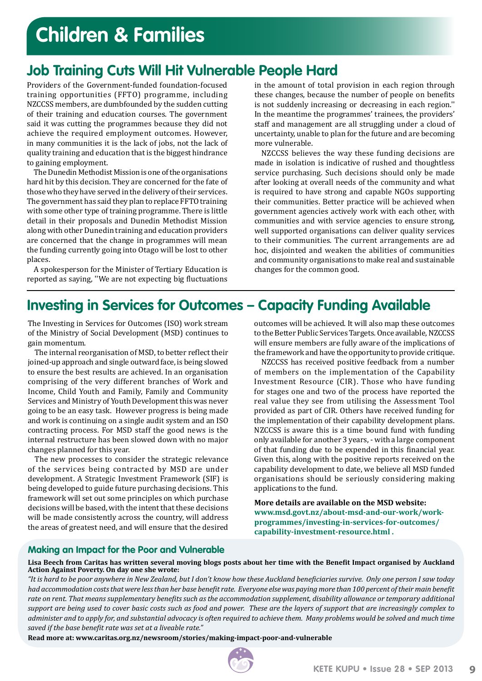# **Children & Families**

## **Job Training Cuts Will Hit Vulnerable People Hard**

Providers of the Government-funded foundation-focused training opportunities (FFTO) programme, including NZCCSS members, are dumbfounded by the sudden cutting of their training and education courses. The government said it was cutting the programmes because they did not achieve the required employment outcomes. However, in many communities it is the lack of jobs, not the lack of quality training and education that is the biggest hindrance to gaining employment.

The Dunedin Methodist Mission is one of the organisations hard hit by this decision. They are concerned for the fate of those who they have served in the delivery of their services. The government has said they plan to replace FFTO training with some other type of training programme. There is little detail in their proposals and Dunedin Methodist Mission along with other Dunedin training and education providers are concerned that the change in programmes will mean the funding currently going into Otago will be lost to other places.

A spokesperson for the Minister of Tertiary Education is reported as saying, ''We are not expecting big fluctuations in the amount of total provision in each region through these changes, because the number of people on benefits is not suddenly increasing or decreasing in each region.'' In the meantime the programmes' trainees, the providers' staff and management are all struggling under a cloud of uncertainty, unable to plan for the future and are becoming more vulnerable.

NZCCSS believes the way these funding decisions are made in isolation is indicative of rushed and thoughtless service purchasing. Such decisions should only be made after looking at overall needs of the community and what is required to have strong and capable NGOs supporting their communities. Better practice will be achieved when government agencies actively work with each other, with communities and with service agencies to ensure strong, well supported organisations can deliver quality services to their communities. The current arrangements are ad hoc, disjointed and weaken the abilities of communities and community organisations to make real and sustainable changes for the common good.

## **Investing in Services for Outcomes – Capacity Funding Available**

The Investing in Services for Outcomes (ISO) work stream of the Ministry of Social Development (MSD) continues to gain momentum.

The internal reorganisation of MSD, to better reflect their joined-up approach and single outward face, is being slowed to ensure the best results are achieved. In an organisation comprising of the very different branches of Work and Income, Child Youth and Family, Family and Community Services and Ministry of Youth Development this was never going to be an easy task. However progress is being made and work is continuing on a single audit system and an ISO contracting process. For MSD staff the good news is the internal restructure has been slowed down with no major changes planned for this year.

The new processes to consider the strategic relevance of the services being contracted by MSD are under development. A Strategic Investment Framework (SIF) is being developed to guide future purchasing decisions. This framework will set out some principles on which purchase decisions will be based, with the intent that these decisions will be made consistently across the country, will address the areas of greatest need, and will ensure that the desired

outcomes will be achieved. It will also map these outcomes to the Better Public Services Targets. Once available, NZCCSS will ensure members are fully aware of the implications of the framework and have the opportunity to provide critique.

NZCCSS has received positive feedback from a number of members on the implementation of the Capability Investment Resource (CIR). Those who have funding for stages one and two of the process have reported the real value they see from utilising the Assessment Tool provided as part of CIR. Others have received funding for the implementation of their capability development plans. NZCCSS is aware this is a time bound fund with funding only available for another 3 years, - with a large component of that funding due to be expended in this financial year. Given this, along with the positive reports received on the capability development to date, we believe all MSD funded organisations should be seriously considering making applications to the fund.

**More details are available on the MSD website: www.msd.govt.nz/about-msd-and-our-work/workprogrammes/investing-in-services-for-outcomes/ capability-investment-resource.html .**

#### **Making an Impact for the Poor and Vulnerable**

#### **Lisa Beech from Caritas has written several moving blogs posts about her time with the Benefit Impact organised by Auckland Action Against Poverty. On day one she wrote:**

*"It is hard to be poor anywhere in New Zealand, but I don't know how these Auckland beneficiaries survive. Only one person I saw today had accommodation costs that were less than her base benefit rate. Everyone else was paying more than 100 percent of their main benefit rate on rent. That means supplementary benefits such as the accommodation supplement, disability allowance or temporary additional support are being used to cover basic costs such as food and power. These are the layers of support that are increasingly complex to administer and to apply for, and substantial advocacy is often required to achieve them. Many problems would be solved and much time saved if the base benefit rate was set at a liveable rate."*

**Read more at: www.caritas.org.nz/newsroom/stories/making-impact-poor-and-vulnerable**

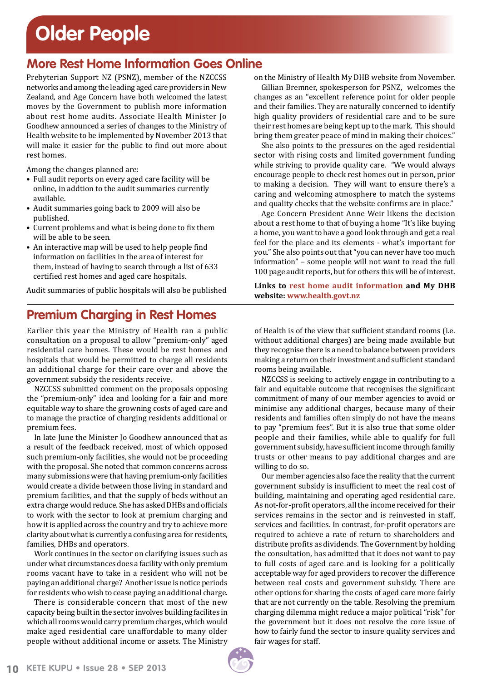# **Older People**

### **More Rest Home Information Goes Online**

Prebyterian Support NZ (PSNZ), member of the NZCCSS networks and among the leading aged care providers in New Zealand, and Age Concern have both welcomed the latest moves by the Government to publish more information about rest home audits. Associate Health Minister Jo Goodhew announced a series of changes to the Ministry of Health website to be implemented by November 2013 that will make it easier for the public to find out more about rest homes.

Among the changes planned are:

- Full audit reports on every aged care facility will be online, in addtion to the audit summaries currently available.
- Audit summaries going back to 2009 will also be published.
- Current problems and what is being done to fix them will be able to be seen.
- An interactive map will be used to help people find information on facilities in the area of interest for them, instead of having to search through a list of 633 certified rest homes and aged care hospitals.

Audit summaries of public hospitals will also be published

### **Premium Charging in Rest Homes**

Earlier this year the Ministry of Health ran a public consultation on a proposal to allow "premium-only" aged residential care homes. These would be rest homes and hospitals that would be permitted to charge all residents an additional charge for their care over and above the government subsidy the residents receive.

NZCCSS submitted comment on the proposals opposing the "premium-only" idea and looking for a fair and more equitable way to share the growning costs of aged care and to manage the practice of charging residents additional or premium fees.

In late June the Minister Jo Goodhew announced that as a result of the feedback received, most of which opposed such premium-only facilities, she would not be proceeding with the proposal. She noted that common concerns across many submissions were that having premium-only facilities would create a divide between those living in standard and premium facilities, and that the supply of beds without an extra charge would reduce. She has asked DHBs and officials to work with the sector to look at premium charging and how it is applied across the country and try to achieve more clarity about what is currently a confusing area for residents, families, DHBs and operators.

Work continues in the sector on clarifying issues such as under what circumstances does a facility with only premium rooms vacant have to take in a resident who will not be paying an additional charge? Another issue is notice periods for residents who wish to cease paying an additional charge.

There is considerable concern that most of the new capacity being built in the sector involves building facilites in which all rooms would carry premium charges, which would make aged residential care unaffordable to many older people without additional income or assets. The Ministry on the Ministry of Health My DHB website from November.

Gillian Bremner, spokesperson for PSNZ, welcomes the changes as an "excellent reference point for older people and their families. They are naturally concerned to identify high quality providers of residential care and to be sure their rest homes are being kept up to the mark. This should bring them greater peace of mind in making their choices."

She also points to the pressures on the aged residential sector with rising costs and limited government funding while striving to provide quality care. "We would always encourage people to check rest homes out in person, prior to making a decision. They will want to ensure there's a caring and welcoming atmosphere to match the systems and quality checks that the website confirms are in place."

Age Concern President Anne Weir likens the decision about a rest home to that of buying a home "It's like buying a home, you want to have a good look through and get a real feel for the place and its elements - what's important for you." She also points out that "you can never have too much information" – some people will not want to read the full 100 page audit reports, but for others this will be of interest.

**Links to rest home audit information and My DHB website: www.health.govt.nz**

of Health is of the view that sufficient standard rooms (i.e. without additional charges) are being made available but they recognise there is a need to balance between providers making a return on their investment and sufficient standard rooms being available.

NZCCSS is seeking to actively engage in contributing to a fair and equitable outcome that recognises the significant commitment of many of our member agencies to avoid or minimise any additional charges, because many of their residents and families often simply do not have the means to pay "premium fees". But it is also true that some older people and their families, while able to qualify for full government subsidy, have sufficient income through familiy trusts or other means to pay additional charges and are willing to do so.

Our member agencies also face the reality that the current government subsidy is insufficient to meet the real cost of building, maintaining and operating aged residential care. As not-for-profit operators, all the income received for their services remains in the sector and is reinvested in staff, services and facilities. In contrast, for-profit operators are required to achieve a rate of return to shareholders and distribute profits as dividends. The Government by holding the consultation, has admitted that it does not want to pay to full costs of aged care and is looking for a politically acceptable way for aged providers to recover the difference between real costs and government subsidy. There are other options for sharing the costs of aged care more fairly that are not currently on the table. Resolving the premium charging dilemma might reduce a major political "risk" for the government but it does not resolve the core issue of how to fairly fund the sector to insure quality services and fair wages for staff.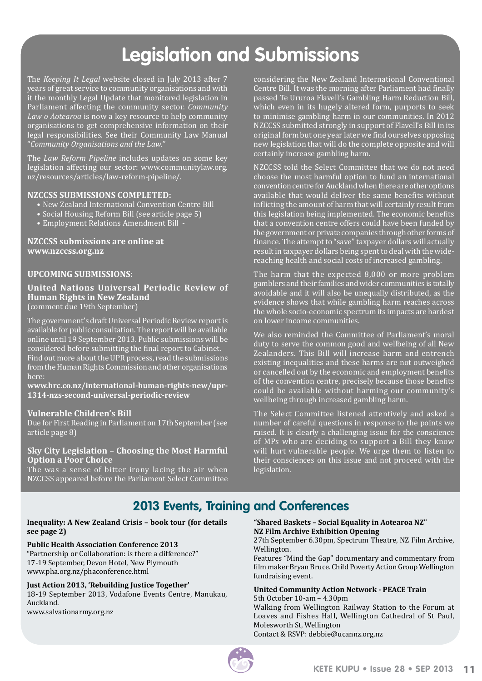# **Legislation and Submissions**

The *Keeping It Legal* website closed in July 2013 after 7 years of great service to community organisations and with it the monthly Legal Update that monitored legislation in Parliament affecting the community sector. *Community Law o Aotearoa* is now a key resource to help community organisations to get comprehensive information on their legal responsibilities. See their Community Law Manual "*Community Organisations and the Law."*

The *Law Reform Pipeline* includes updates on some key legislation affecting our sector: www.communitylaw.org. nz/resources/articles/law-reform-pipeline/.

#### **NZCCSS submissions completed:**

- New Zealand International Convention Centre Bill
- Social Housing Reform Bill (see article page 5)
- Employment Relations Amendment Bill -

#### **NZCCSS submissions are online at www.nzccss.org.nz**

#### **Upcoming submissions:**

**United Nations Universal Periodic Review of Human Rights in New Zealand**  (comment due 19th September)

The government's draft Universal Periodic Review report is available for public consultation. The report will be available online until 19 September 2013. Public submissions will be considered before submitting the final report to Cabinet. Find out more about the UPR process, read the submissions from the Human Rights Commission and other organisations here:

**www.hrc.co.nz/international-human-rights-new/upr-1314-nzs-second-universal-periodic-review** 

#### **Vulnerable Children's Bill**

Due for First Reading in Parliament on 17th September (see article page 8)

#### **Sky City Legislation – Choosing the Most Harmful Option a Poor Choice**

The was a sense of bitter irony lacing the air when NZCCSS appeared before the Parliament Select Committee

considering the New Zealand International Conventional Centre Bill. It was the morning after Parliament had finally passed Te Ururoa Flavell's Gambling Harm Reduction Bill, which even in its hugely altered form, purports to seek to minimise gambling harm in our communities. In 2012 NZCCSS submitted strongly in support of Flavell's Bill in its original form but one year later we find ourselves opposing new legislation that will do the complete opposite and will certainly increase gambling harm.

NZCCSS told the Select Committee that we do not need choose the most harmful option to fund an international convention centre for Auckland when there are other options available that would deliver the same benefits without inflicting the amount of harm that will certainly result from this legislation being implemented. The economic benefits that a convention centre offers could have been funded by the government or private companies through other forms of finance. The attempt to "save" taxpayer dollars will actually result in taxpayer dollars being spent to deal with the widereaching health and social costs of increased gambling.

The harm that the expected 8,000 or more problem gamblers and their families and wider communities is totally avoidable and it will also be unequally distributed, as the evidence shows that while gambling harm reaches across the whole socio-economic spectrum its impacts are hardest on lower income communities.

We also reminded the Committee of Parliament's moral duty to serve the common good and wellbeing of all New Zealanders. This Bill will increase harm and entrench existing inequalities and these harms are not outweighed or cancelled out by the economic and employment benefits of the convention centre, precisely because those benefits could be available without harming our community's wellbeing through increased gambling harm.

The Select Committee listened attentively and asked a number of careful questions in response to the points we raised. It is clearly a challenging issue for the conscience of MPs who are deciding to support a Bill they know will hurt vulnerable people. We urge them to listen to their consciences on this issue and not proceed with the legislation.

## **2013 Events, Training and Conferences**

#### **Inequality: A New Zealand Crisis – book tour (for details see page 2)**

#### **Public Health Association Conference 2013**

"Partnership or Collaboration: is there a difference?" 17-19 September, Devon Hotel, New Plymouth www.pha.org.nz/phaconference.html

#### **Just Action 2013, 'Rebuilding Justice Together'**

18-19 September 2013, Vodafone Events Centre, Manukau, Auckland. www.salvationarmy.org.nz

#### **"Shared Baskets – Social Equality in Aotearoa NZ" NZ Film Archive Exhibition Opening**

27th September 6.30pm, Spectrum Theatre, NZ Film Archive, Wellington.

Features "Mind the Gap" documentary and commentary from film maker Bryan Bruce. Child Poverty Action Group Wellington fundraising event.

#### **United Community Action Network - PEACE Train**

5th October 10-am – 4.30pm Walking from Wellington Railway Station to the Forum at Loaves and Fishes Hall, Wellington Cathedral of St Paul, Molesworth St, Wellington Contact & RSVP: debbie@ucannz.org.nz